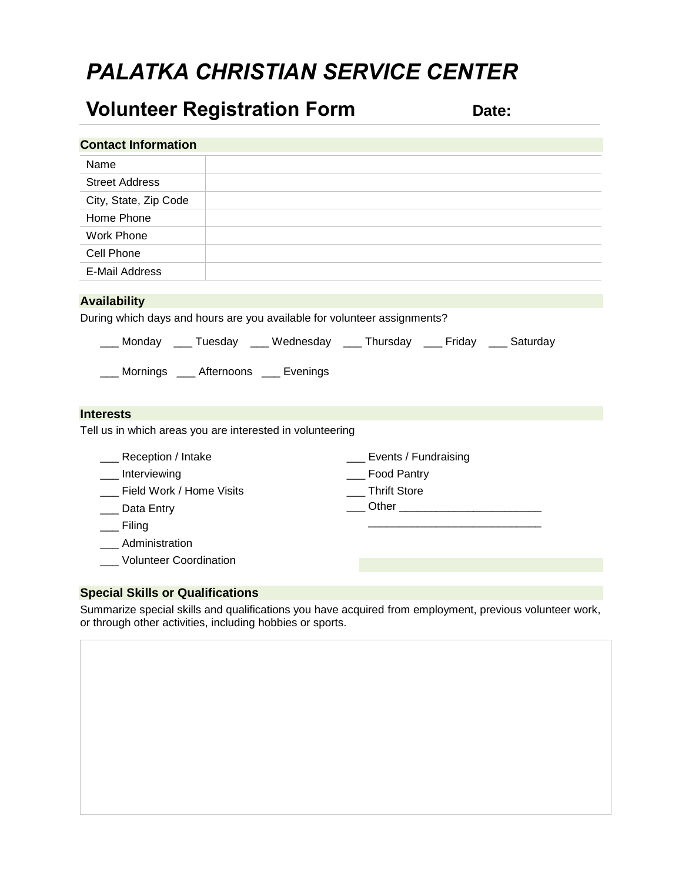# *PALATKA CHRISTIAN SERVICE CENTER*

## **Volunteer Registration Form Date:**

| <b>Contact Information</b>    |                                                                          |                                                                           |  |
|-------------------------------|--------------------------------------------------------------------------|---------------------------------------------------------------------------|--|
| Name                          |                                                                          |                                                                           |  |
| <b>Street Address</b>         |                                                                          |                                                                           |  |
| City, State, Zip Code         |                                                                          |                                                                           |  |
| Home Phone                    |                                                                          |                                                                           |  |
| <b>Work Phone</b>             |                                                                          |                                                                           |  |
| Cell Phone                    |                                                                          |                                                                           |  |
| <b>E-Mail Address</b>         |                                                                          |                                                                           |  |
|                               |                                                                          |                                                                           |  |
| <b>Availability</b>           |                                                                          |                                                                           |  |
|                               | During which days and hours are you available for volunteer assignments? |                                                                           |  |
|                               |                                                                          | ___ Monday ___ Tuesday ___ Wednesday ___ Thursday ___ Friday ___ Saturday |  |
|                               | ___ Mornings ____ Afternoons ____ Evenings                               |                                                                           |  |
| <b>Interests</b>              |                                                                          |                                                                           |  |
|                               | Tell us in which areas you are interested in volunteering                |                                                                           |  |
| __ Reception / Intake         |                                                                          | ___ Events / Fundraising                                                  |  |
| __ Interviewing               |                                                                          | __ Food Pantry                                                            |  |
| Field Work / Home Visits      |                                                                          | <b>Thrift Store</b>                                                       |  |
| Data Entry                    |                                                                          | __ Other ____________________________                                     |  |
| $\equiv$ Filing               |                                                                          |                                                                           |  |
| Administration                |                                                                          |                                                                           |  |
| <b>Volunteer Coordination</b> |                                                                          |                                                                           |  |
|                               |                                                                          |                                                                           |  |
| Considerable on Oughtingtin   |                                                                          |                                                                           |  |

#### **Special Skills or Qualifications**

Summarize special skills and qualifications you have acquired from employment, previous volunteer work, or through other activities, including hobbies or sports.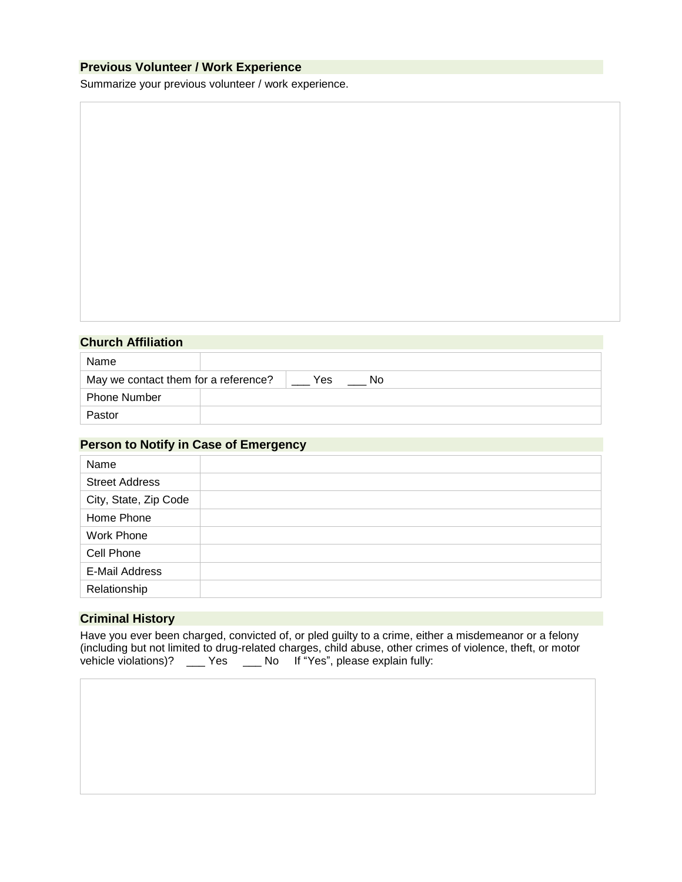#### **Previous Volunteer / Work Experience**

Summarize your previous volunteer / work experience.

### **Church Affiliation**

| Name                                 |     |    |  |
|--------------------------------------|-----|----|--|
| May we contact them for a reference? | Yes | Nο |  |
| <b>Phone Number</b>                  |     |    |  |
| Pastor                               |     |    |  |

#### **Person to Notify in Case of Emergency**

| Name                  |  |
|-----------------------|--|
| <b>Street Address</b> |  |
| City, State, Zip Code |  |
| Home Phone            |  |
| Work Phone            |  |
| Cell Phone            |  |
| <b>E-Mail Address</b> |  |
| Relationship          |  |

#### **Criminal History**

Have you ever been charged, convicted of, or pled guilty to a crime, either a misdemeanor or a felony (including but not limited to drug-related charges, child abuse, other crimes of violence, theft, or motor vehicle violations)? \_\_\_ Yes \_\_\_ No If "Yes", please explain fully: